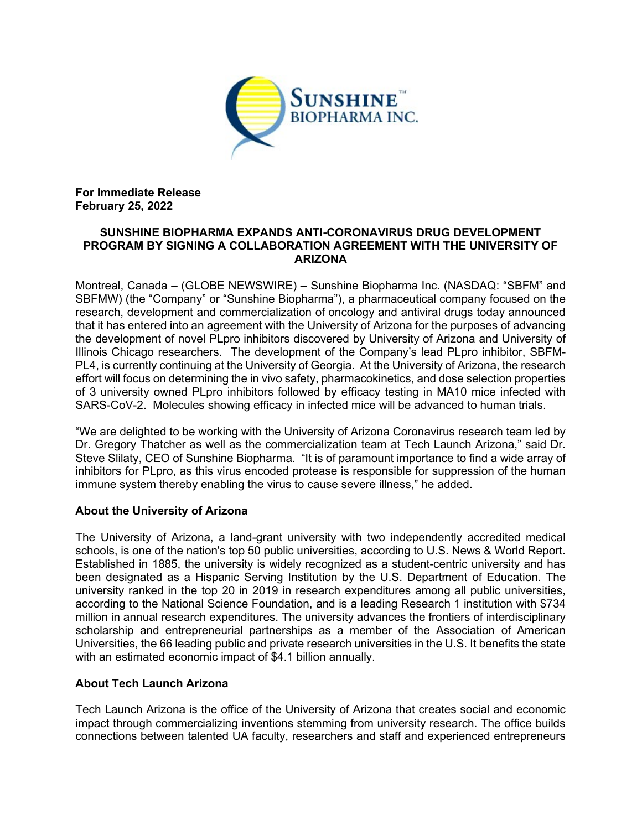

For Immediate Release February 25, 2022

### SUNSHINE BIOPHARMA EXPANDS ANTI-CORONAVIRUS DRUG DEVELOPMENT PROGRAM BY SIGNING A COLLABORATION AGREEMENT WITH THE UNIVERSITY OF ARIZONA

Montreal, Canada – (GLOBE NEWSWIRE) – Sunshine Biopharma Inc. (NASDAQ: "SBFM" and SBFMW) (the "Company" or "Sunshine Biopharma"), a pharmaceutical company focused on the research, development and commercialization of oncology and antiviral drugs today announced that it has entered into an agreement with the University of Arizona for the purposes of advancing the development of novel PLpro inhibitors discovered by University of Arizona and University of Illinois Chicago researchers. The development of the Company's lead PLpro inhibitor, SBFM-PL4, is currently continuing at the University of Georgia. At the University of Arizona, the research effort will focus on determining the in vivo safety, pharmacokinetics, and dose selection properties of 3 university owned PLpro inhibitors followed by efficacy testing in MA10 mice infected with SARS-CoV-2. Molecules showing efficacy in infected mice will be advanced to human trials.

"We are delighted to be working with the University of Arizona Coronavirus research team led by Dr. Gregory Thatcher as well as the commercialization team at Tech Launch Arizona," said Dr. Steve Slilaty, CEO of Sunshine Biopharma. "It is of paramount importance to find a wide array of inhibitors for PLpro, as this virus encoded protease is responsible for suppression of the human immune system thereby enabling the virus to cause severe illness," he added.

## About the University of Arizona

The University of Arizona, a land-grant university with two independently accredited medical schools, is one of the nation's top 50 public universities, according to U.S. News & World Report. Established in 1885, the university is widely recognized as a student-centric university and has been designated as a Hispanic Serving Institution by the U.S. Department of Education. The university ranked in the top 20 in 2019 in research expenditures among all public universities, according to the National Science Foundation, and is a leading Research 1 institution with \$734 million in annual research expenditures. The university advances the frontiers of interdisciplinary scholarship and entrepreneurial partnerships as a member of the Association of American Universities, the 66 leading public and private research universities in the U.S. It benefits the state with an estimated economic impact of \$4.1 billion annually.

## About Tech Launch Arizona

Tech Launch Arizona is the office of the University of Arizona that creates social and economic impact through commercializing inventions stemming from university research. The office builds connections between talented UA faculty, researchers and staff and experienced entrepreneurs